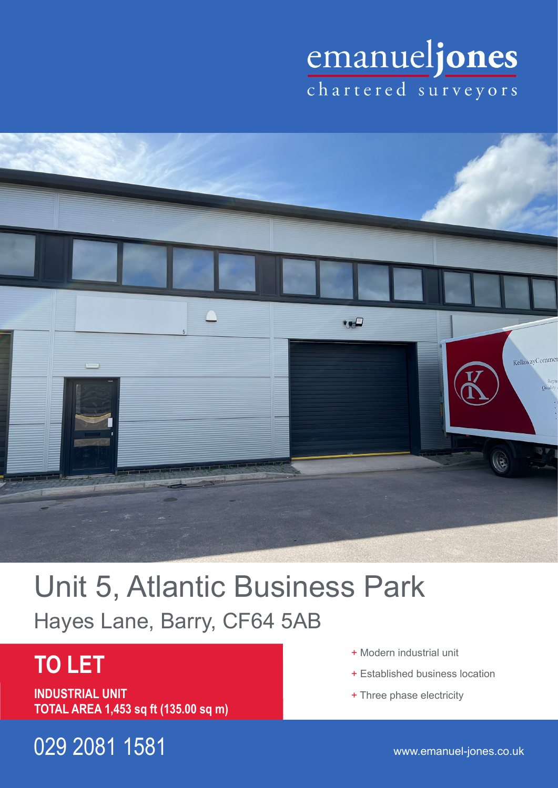# emanueljones



## Unit 5, Atlantic Business Park Hayes Lane, Barry, CF64 5AB

## **TO LET**

**INDUSTRIAL UNIT TOTAL AREA 1,453 sq ft (135.00 sq m)**

029 2081 1581 www.emanuel-jones.co.uk

- + Modern industrial unit
- + Established business location
- + Three phase electricity